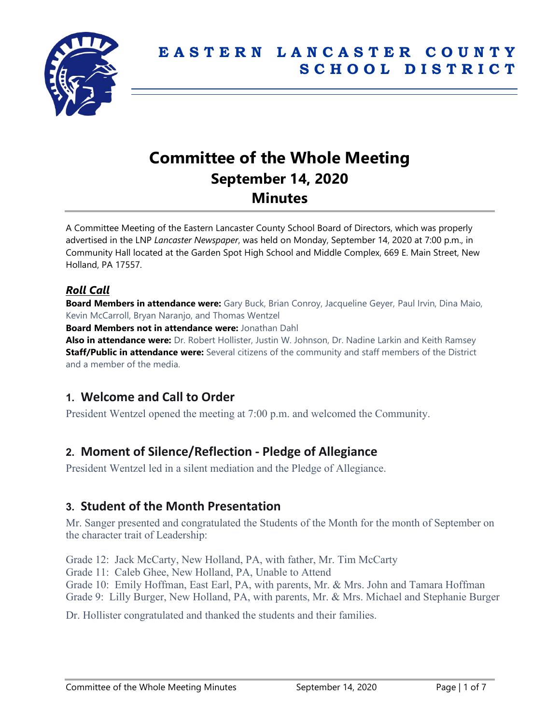

# **Committee of the Whole Meeting September 14, 2020 Minutes**

A Committee Meeting of the Eastern Lancaster County School Board of Directors, which was properly advertised in the LNP *Lancaster Newspaper*, was held on Monday, September 14, 2020 at 7:00 p.m., in Community Hall located at the Garden Spot High School and Middle Complex, 669 E. Main Street, New Holland, PA 17557.

### *Roll Call*

**Board Members in attendance were:** Gary Buck, Brian Conroy, Jacqueline Geyer, Paul Irvin, Dina Maio, Kevin McCarroll, Bryan Naranjo, and Thomas Wentzel

**Board Members not in attendance were:** Jonathan Dahl

**Also in attendance were:** Dr. Robert Hollister, Justin W. Johnson, Dr. Nadine Larkin and Keith Ramsey **Staff/Public in attendance were:** Several citizens of the community and staff members of the District and a member of the media.

# **1. Welcome and Call to Order**

President Wentzel opened the meeting at 7:00 p.m. and welcomed the Community.

# **2. Moment of Silence/Reflection - Pledge of Allegiance**

President Wentzel led in a silent mediation and the Pledge of Allegiance.

# **3. Student of the Month Presentation**

Mr. Sanger presented and congratulated the Students of the Month for the month of September on the character trait of Leadership:

Grade 12: Jack McCarty, New Holland, PA, with father, Mr. Tim McCarty Grade 11: Caleb Ghee, New Holland, PA, Unable to Attend Grade 10: Emily Hoffman, East Earl, PA, with parents, Mr. & Mrs. John and Tamara Hoffman Grade 9: Lilly Burger, New Holland, PA, with parents, Mr. & Mrs. Michael and Stephanie Burger

Dr. Hollister congratulated and thanked the students and their families.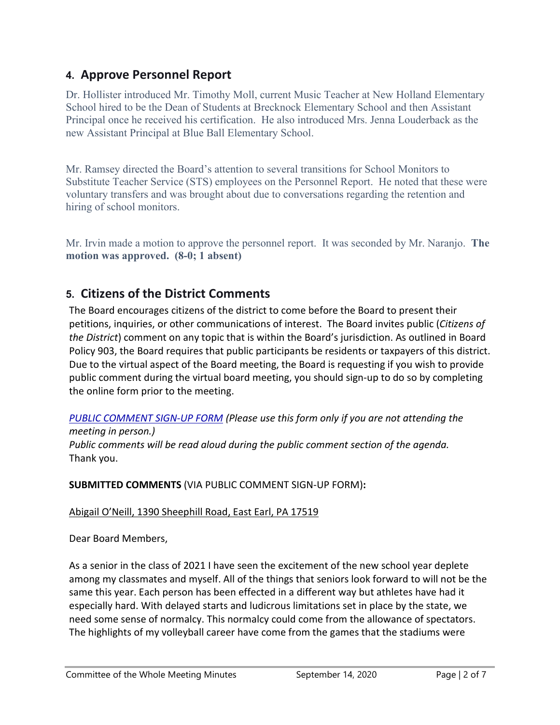# **4. Approve Personnel Report**

Dr. Hollister introduced Mr. Timothy Moll, current Music Teacher at New Holland Elementary School hired to be the Dean of Students at Brecknock Elementary School and then Assistant Principal once he received his certification. He also introduced Mrs. Jenna Louderback as the new Assistant Principal at Blue Ball Elementary School.

Mr. Ramsey directed the Board's attention to several transitions for School Monitors to Substitute Teacher Service (STS) employees on the Personnel Report. He noted that these were voluntary transfers and was brought about due to conversations regarding the retention and hiring of school monitors.

Mr. Irvin made a motion to approve the personnel report. It was seconded by Mr. Naranjo. **The motion was approved. (8-0; 1 absent)**

# **5. Citizens of the District Comments**

The Board encourages citizens of the district to come before the Board to present their petitions, inquiries, or other communications of interest. The Board invites public (*Citizens of the District*) comment on any topic that is within the Board's jurisdiction. As outlined in Board Policy 903, the Board requires that public participants be residents or taxpayers of this district. Due to the virtual aspect of the Board meeting, the Board is requesting if you wish to provide public comment during the virtual board meeting, you should sign-up to do so by completing the online form prior to the meeting.

#### *[PUBLIC COMMENT SIGN-UP FORM](https://forms.gle/zDXXoX8rZQUxt1Ap6) (Please use this form only if you are not attending the meeting in person.)*

*Public comments will be read aloud during the public comment section of the agenda.* Thank you.

**SUBMITTED COMMENTS** (VIA PUBLIC COMMENT SIGN-UP FORM)**:**

#### Abigail O'Neill, 1390 Sheephill Road, East Earl, PA 17519

Dear Board Members,

As a senior in the class of 2021 I have seen the excitement of the new school year deplete among my classmates and myself. All of the things that seniors look forward to will not be the same this year. Each person has been effected in a different way but athletes have had it especially hard. With delayed starts and ludicrous limitations set in place by the state, we need some sense of normalcy. This normalcy could come from the allowance of spectators. The highlights of my volleyball career have come from the games that the stadiums were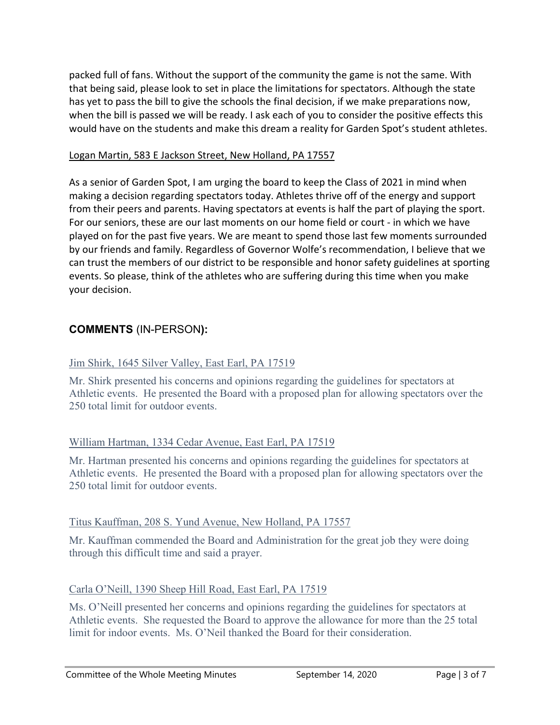packed full of fans. Without the support of the community the game is not the same. With that being said, please look to set in place the limitations for spectators. Although the state has yet to pass the bill to give the schools the final decision, if we make preparations now, when the bill is passed we will be ready. I ask each of you to consider the positive effects this would have on the students and make this dream a reality for Garden Spot's student athletes.

#### Logan Martin, 583 E Jackson Street, New Holland, PA 17557

As a senior of Garden Spot, I am urging the board to keep the Class of 2021 in mind when making a decision regarding spectators today. Athletes thrive off of the energy and support from their peers and parents. Having spectators at events is half the part of playing the sport. For our seniors, these are our last moments on our home field or court - in which we have played on for the past five years. We are meant to spend those last few moments surrounded by our friends and family. Regardless of Governor Wolfe's recommendation, I believe that we can trust the members of our district to be responsible and honor safety guidelines at sporting events. So please, think of the athletes who are suffering during this time when you make your decision.

# **COMMENTS** (IN-PERSON**):**

#### Jim Shirk, 1645 Silver Valley, East Earl, PA 17519

Mr. Shirk presented his concerns and opinions regarding the guidelines for spectators at Athletic events. He presented the Board with a proposed plan for allowing spectators over the 250 total limit for outdoor events.

#### William Hartman, 1334 Cedar Avenue, East Earl, PA 17519

Mr. Hartman presented his concerns and opinions regarding the guidelines for spectators at Athletic events. He presented the Board with a proposed plan for allowing spectators over the 250 total limit for outdoor events.

#### Titus Kauffman, 208 S. Yund Avenue, New Holland, PA 17557

Mr. Kauffman commended the Board and Administration for the great job they were doing through this difficult time and said a prayer.

#### Carla O'Neill, 1390 Sheep Hill Road, East Earl, PA 17519

Ms. O'Neill presented her concerns and opinions regarding the guidelines for spectators at Athletic events. She requested the Board to approve the allowance for more than the 25 total limit for indoor events. Ms. O'Neil thanked the Board for their consideration.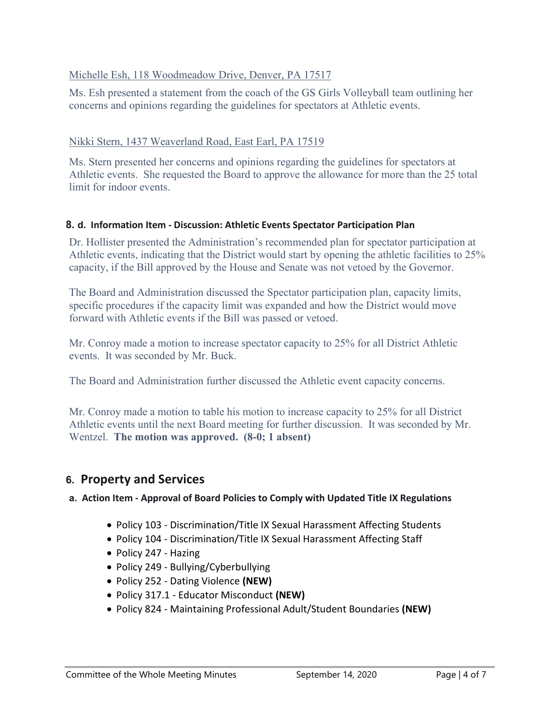#### Michelle Esh, 118 Woodmeadow Drive, Denver, PA 17517

Ms. Esh presented a statement from the coach of the GS Girls Volleyball team outlining her concerns and opinions regarding the guidelines for spectators at Athletic events.

#### Nikki Stern, 1437 Weaverland Road, East Earl, PA 17519

Ms. Stern presented her concerns and opinions regarding the guidelines for spectators at Athletic events. She requested the Board to approve the allowance for more than the 25 total limit for indoor events.

#### **8. d. Information Item - Discussion: Athletic Events Spectator Participation Plan**

Dr. Hollister presented the Administration's recommended plan for spectator participation at Athletic events, indicating that the District would start by opening the athletic facilities to 25% capacity, if the Bill approved by the House and Senate was not vetoed by the Governor.

The Board and Administration discussed the Spectator participation plan, capacity limits, specific procedures if the capacity limit was expanded and how the District would move forward with Athletic events if the Bill was passed or vetoed.

Mr. Conroy made a motion to increase spectator capacity to 25% for all District Athletic events. It was seconded by Mr. Buck.

The Board and Administration further discussed the Athletic event capacity concerns.

Mr. Conroy made a motion to table his motion to increase capacity to 25% for all District Athletic events until the next Board meeting for further discussion. It was seconded by Mr. Wentzel. **The motion was approved. (8-0; 1 absent)**

# **6. Property and Services**

#### **a. Action Item - Approval of Board Policies to Comply with Updated Title IX Regulations**

- Policy 103 Discrimination/Title IX Sexual Harassment Affecting Students
- Policy 104 Discrimination/Title IX Sexual Harassment Affecting Staff
- Policy 247 Hazing
- Policy 249 Bullying/Cyberbullying
- Policy 252 Dating Violence **(NEW)**
- Policy 317.1 Educator Misconduct **(NEW)**
- Policy 824 Maintaining Professional Adult/Student Boundaries **(NEW)**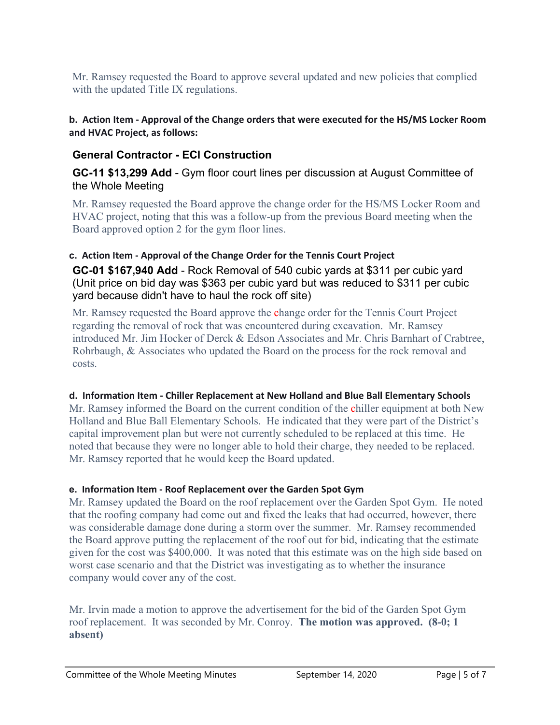Mr. Ramsey requested the Board to approve several updated and new policies that complied with the updated Title IX regulations.

#### **b. Action Item - Approval of the Change orders that were executed for the HS/MS Locker Room and HVAC Project, as follows:**

# **General Contractor - ECI Construction**

**GC-11 \$13,299 Add** - Gym floor court lines per discussion at August Committee of the Whole Meeting

Mr. Ramsey requested the Board approve the change order for the HS/MS Locker Room and HVAC project, noting that this was a follow-up from the previous Board meeting when the Board approved option 2 for the gym floor lines.

#### **c. Action Item - Approval of the Change Order for the Tennis Court Project**

**GC-01 \$167,940 Add** - Rock Removal of 540 cubic yards at \$311 per cubic yard (Unit price on bid day was \$363 per cubic yard but was reduced to \$311 per cubic yard because didn't have to haul the rock off site)

Mr. Ramsey requested the Board approve the change order for the Tennis Court Project regarding the removal of rock that was encountered during excavation. Mr. Ramsey introduced Mr. Jim Hocker of Derck & Edson Associates and Mr. Chris Barnhart of Crabtree, Rohrbaugh, & Associates who updated the Board on the process for the rock removal and costs.

#### **d. Information Item - Chiller Replacement at New Holland and Blue Ball Elementary Schools**

Mr. Ramsey informed the Board on the current condition of the chiller equipment at both New Holland and Blue Ball Elementary Schools. He indicated that they were part of the District's capital improvement plan but were not currently scheduled to be replaced at this time. He noted that because they were no longer able to hold their charge, they needed to be replaced. Mr. Ramsey reported that he would keep the Board updated.

#### **e. Information Item - Roof Replacement over the Garden Spot Gym**

Mr. Ramsey updated the Board on the roof replacement over the Garden Spot Gym. He noted that the roofing company had come out and fixed the leaks that had occurred, however, there was considerable damage done during a storm over the summer. Mr. Ramsey recommended the Board approve putting the replacement of the roof out for bid, indicating that the estimate given for the cost was \$400,000. It was noted that this estimate was on the high side based on worst case scenario and that the District was investigating as to whether the insurance company would cover any of the cost.

Mr. Irvin made a motion to approve the advertisement for the bid of the Garden Spot Gym roof replacement. It was seconded by Mr. Conroy. **The motion was approved. (8-0; 1 absent)**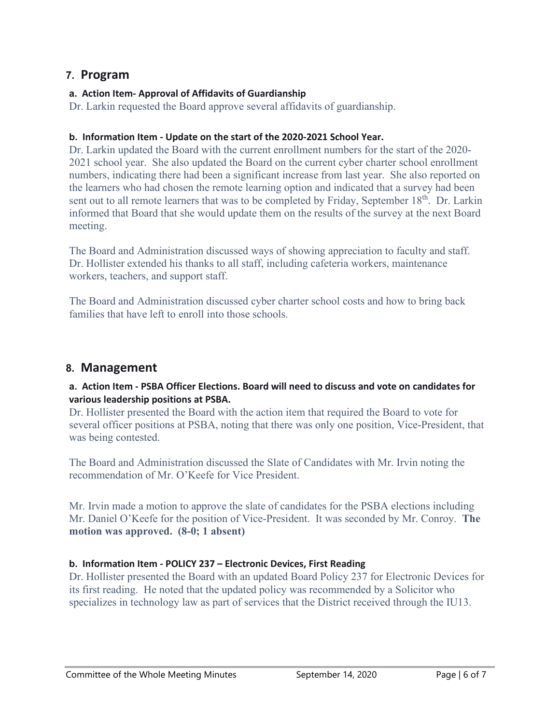### **7. Program**

#### **a. Action Item- Approval of Affidavits of Guardianship**

Dr. Larkin requested the Board approve several affidavits of guardianship.

#### **b. Information Item - Update on the start of the 2020-2021 School Year.**

Dr. Larkin updated the Board with the current enrollment numbers for the start of the 2020- 2021 school year. She also updated the Board on the current cyber charter school enrollment numbers, indicating there had been a significant increase from last year. She also reported on the learners who had chosen the remote learning option and indicated that a survey had been sent out to all remote learners that was to be completed by Friday, September 18<sup>th</sup>. Dr. Larkin informed that Board that she would update them on the results of the survey at the next Board meeting.

The Board and Administration discussed ways of showing appreciation to faculty and staff. Dr. Hollister extended his thanks to all staff, including cafeteria workers, maintenance workers, teachers, and support staff.

The Board and Administration discussed cyber charter school costs and how to bring back families that have left to enroll into those schools.

# **8. Management**

#### **a. Action Item - PSBA Officer Elections. Board will need to discuss and vote on candidates for various leadership positions at PSBA.**

Dr. Hollister presented the Board with the action item that required the Board to vote for several officer positions at PSBA, noting that there was only one position, Vice-President, that was being contested.

The Board and Administration discussed the Slate of Candidates with Mr. Irvin noting the recommendation of Mr. O'Keefe for Vice President.

Mr. Irvin made a motion to approve the slate of candidates for the PSBA elections including Mr. Daniel O'Keefe for the position of Vice-President. It was seconded by Mr. Conroy. **The motion was approved. (8-0; 1 absent)**

#### **b. Information Item - POLICY 237 – Electronic Devices, First Reading**

Dr. Hollister presented the Board with an updated Board Policy 237 for Electronic Devices for its first reading. He noted that the updated policy was recommended by a Solicitor who specializes in technology law as part of services that the District received through the IU13.